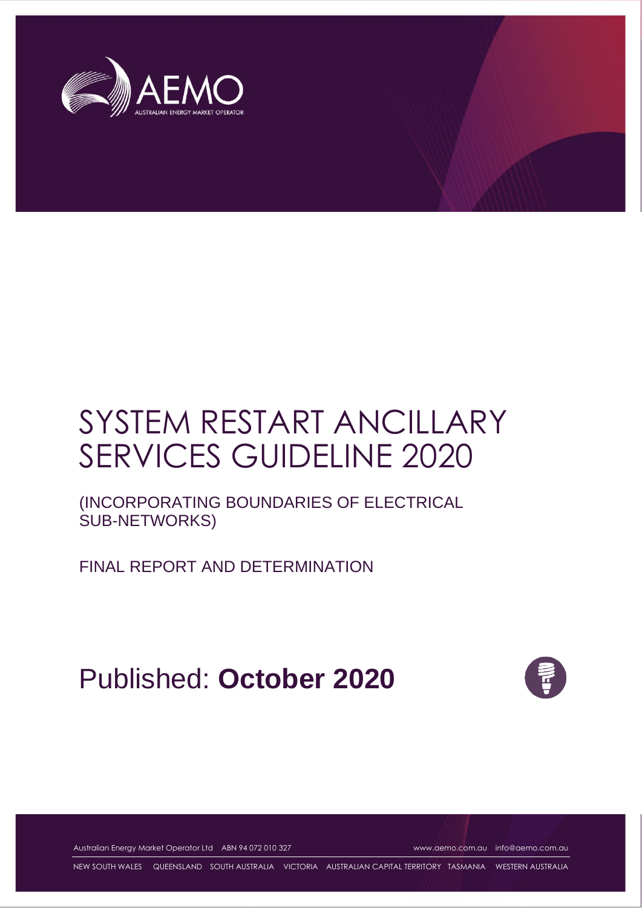

# SYSTEM RESTART ANCILLARY SERVICES GUIDELINE 2020

(INCORPORATING BOUNDARIES OF ELECTRICAL SUB-NETWORKS)

FINAL REPORT AND DETERMINATION

Published: **October 2020**



Australian Energy Market Operator Ltd ABN 94 072 010 327 [www.aemo.com.au](http://www.aemo.com.au/) [info@aemo.com.au](mailto:info@aemo.com.au)

NEW SOUTH WALES QUEENSLAND SOUTH AUSTRALIA VICTORIA AUSTRALIAN CAPITAL TERRITORY TASMANIA WESTERN AUSTRALIA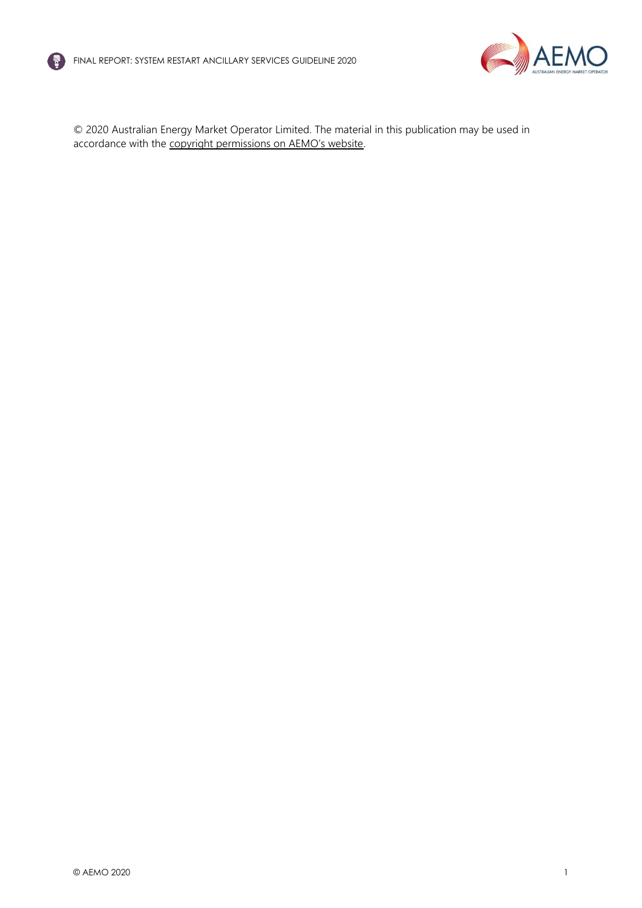



© 2020 Australian Energy Market Operator Limited. The material in this publication may be used in accordance with the [copyright permissions on AEMO's website](http://aemo.com.au/Privacy_and_Legal_Notices/Copyright_Permissions_Notice).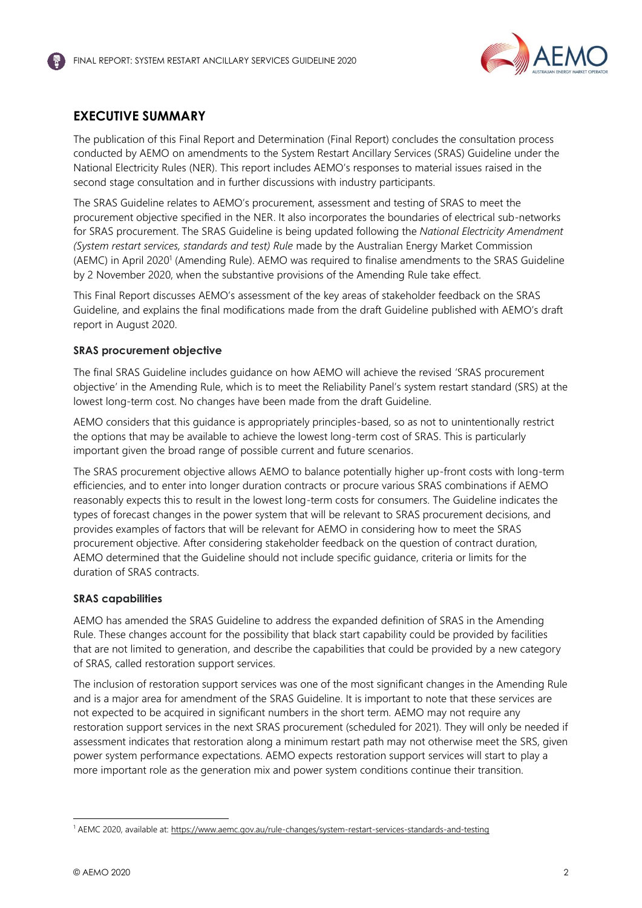

# <span id="page-2-0"></span>**EXECUTIVE SUMMARY**

The publication of this Final Report and Determination (Final Report) concludes the consultation process conducted by AEMO on amendments to the System Restart Ancillary Services (SRAS) Guideline under the National Electricity Rules (NER). This report includes AEMO's responses to material issues raised in the second stage consultation and in further discussions with industry participants.

The SRAS Guideline relates to AEMO's procurement, assessment and testing of SRAS to meet the procurement objective specified in the NER. It also incorporates the boundaries of electrical sub-networks for SRAS procurement. The SRAS Guideline is being updated following the *National Electricity Amendment (System restart services, standards and test) Rule* made by the Australian Energy Market Commission (AEMC) in April 2020<sup>1</sup> (Amending Rule). AEMO was required to finalise amendments to the SRAS Guideline by 2 November 2020, when the substantive provisions of the Amending Rule take effect.

This Final Report discusses AEMO's assessment of the key areas of stakeholder feedback on the SRAS Guideline, and explains the final modifications made from the draft Guideline published with AEMO's draft report in August 2020.

#### **SRAS procurement objective**

The final SRAS Guideline includes guidance on how AEMO will achieve the revised 'SRAS procurement objective' in the Amending Rule, which is to meet the Reliability Panel's system restart standard (SRS) at the lowest long-term cost. No changes have been made from the draft Guideline.

AEMO considers that this guidance is appropriately principles-based, so as not to unintentionally restrict the options that may be available to achieve the lowest long-term cost of SRAS. This is particularly important given the broad range of possible current and future scenarios.

The SRAS procurement objective allows AEMO to balance potentially higher up-front costs with long-term efficiencies, and to enter into longer duration contracts or procure various SRAS combinations if AEMO reasonably expects this to result in the lowest long-term costs for consumers. The Guideline indicates the types of forecast changes in the power system that will be relevant to SRAS procurement decisions, and provides examples of factors that will be relevant for AEMO in considering how to meet the SRAS procurement objective. After considering stakeholder feedback on the question of contract duration, AEMO determined that the Guideline should not include specific guidance, criteria or limits for the duration of SRAS contracts.

#### **SRAS capabilities**

AEMO has amended the SRAS Guideline to address the expanded definition of SRAS in the Amending Rule. These changes account for the possibility that black start capability could be provided by facilities that are not limited to generation, and describe the capabilities that could be provided by a new category of SRAS, called restoration support services.

The inclusion of restoration support services was one of the most significant changes in the Amending Rule and is a major area for amendment of the SRAS Guideline. It is important to note that these services are not expected to be acquired in significant numbers in the short term. AEMO may not require any restoration support services in the next SRAS procurement (scheduled for 2021). They will only be needed if assessment indicates that restoration along a minimum restart path may not otherwise meet the SRS, given power system performance expectations. AEMO expects restoration support services will start to play a more important role as the generation mix and power system conditions continue their transition.

<sup>1</sup> AEMC 2020, available at[: https://www.aemc.gov.au/rule-changes/system-restart-services-standards-and-testing](https://www.aemc.gov.au/rule-changes/system-restart-services-standards-and-testing)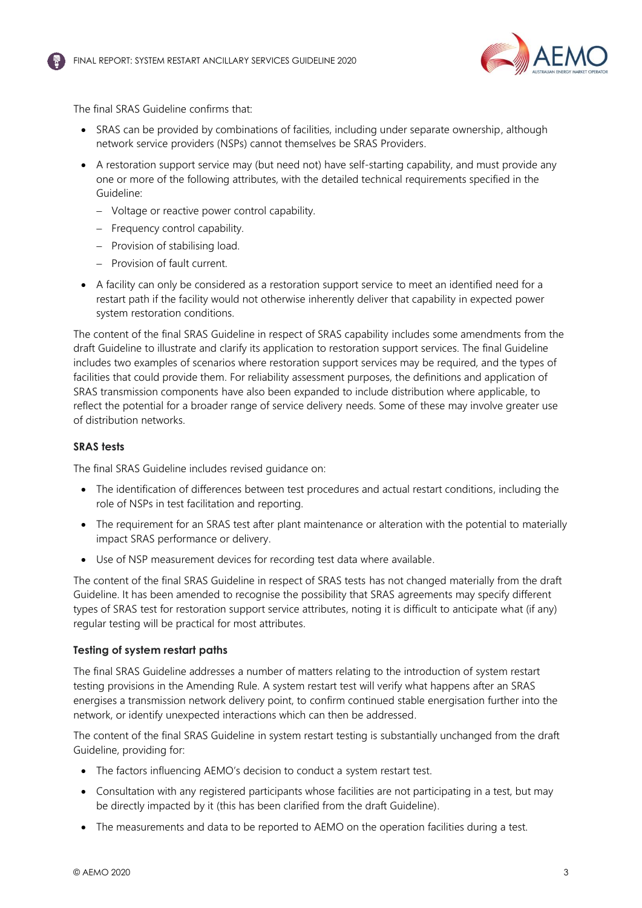



The final SRAS Guideline confirms that:

- SRAS can be provided by combinations of facilities, including under separate ownership, although network service providers (NSPs) cannot themselves be SRAS Providers.
- A restoration support service may (but need not) have self-starting capability, and must provide any one or more of the following attributes, with the detailed technical requirements specified in the Guideline:
	- − Voltage or reactive power control capability.
	- − Frequency control capability.
	- − Provision of stabilising load.
	- − Provision of fault current.
- A facility can only be considered as a restoration support service to meet an identified need for a restart path if the facility would not otherwise inherently deliver that capability in expected power system restoration conditions.

The content of the final SRAS Guideline in respect of SRAS capability includes some amendments from the draft Guideline to illustrate and clarify its application to restoration support services. The final Guideline includes two examples of scenarios where restoration support services may be required, and the types of facilities that could provide them. For reliability assessment purposes, the definitions and application of SRAS transmission components have also been expanded to include distribution where applicable, to reflect the potential for a broader range of service delivery needs. Some of these may involve greater use of distribution networks.

#### **SRAS tests**

The final SRAS Guideline includes revised guidance on:

- The identification of differences between test procedures and actual restart conditions, including the role of NSPs in test facilitation and reporting.
- The requirement for an SRAS test after plant maintenance or alteration with the potential to materially impact SRAS performance or delivery.
- Use of NSP measurement devices for recording test data where available.

The content of the final SRAS Guideline in respect of SRAS tests has not changed materially from the draft Guideline. It has been amended to recognise the possibility that SRAS agreements may specify different types of SRAS test for restoration support service attributes, noting it is difficult to anticipate what (if any) regular testing will be practical for most attributes.

#### **Testing of system restart paths**

The final SRAS Guideline addresses a number of matters relating to the introduction of system restart testing provisions in the Amending Rule. A system restart test will verify what happens after an SRAS energises a transmission network delivery point, to confirm continued stable energisation further into the network, or identify unexpected interactions which can then be addressed.

The content of the final SRAS Guideline in system restart testing is substantially unchanged from the draft Guideline, providing for:

- The factors influencing AEMO's decision to conduct a system restart test.
- Consultation with any registered participants whose facilities are not participating in a test, but may be directly impacted by it (this has been clarified from the draft Guideline).
- The measurements and data to be reported to AEMO on the operation facilities during a test.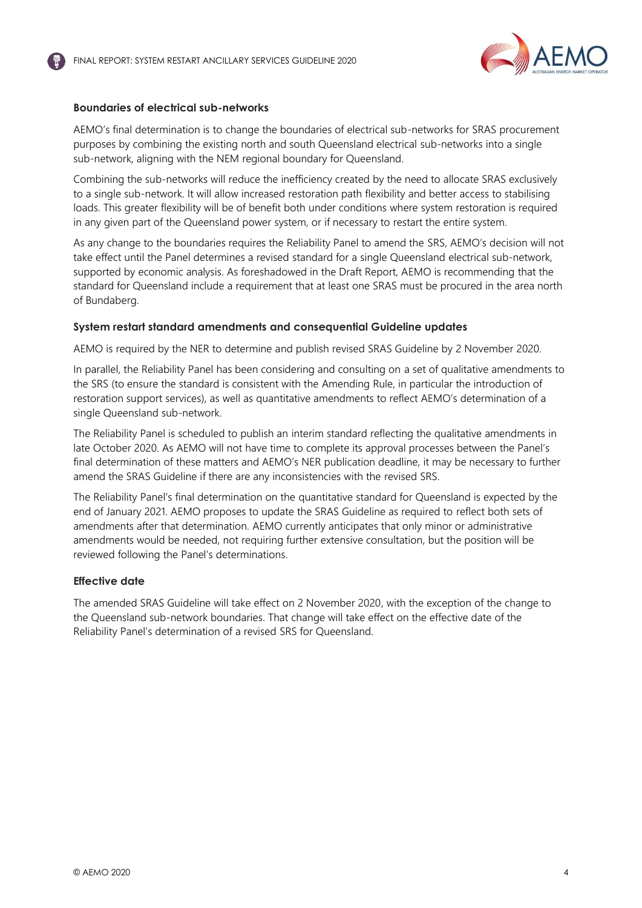

#### **Boundaries of electrical sub-networks**

AEMO's final determination is to change the boundaries of electrical sub-networks for SRAS procurement purposes by combining the existing north and south Queensland electrical sub-networks into a single sub-network, aligning with the NEM regional boundary for Queensland.

Combining the sub-networks will reduce the inefficiency created by the need to allocate SRAS exclusively to a single sub-network. It will allow increased restoration path flexibility and better access to stabilising loads. This greater flexibility will be of benefit both under conditions where system restoration is required in any given part of the Queensland power system, or if necessary to restart the entire system.

As any change to the boundaries requires the Reliability Panel to amend the SRS, AEMO's decision will not take effect until the Panel determines a revised standard for a single Queensland electrical sub-network, supported by economic analysis. As foreshadowed in the Draft Report, AEMO is recommending that the standard for Queensland include a requirement that at least one SRAS must be procured in the area north of Bundaberg.

#### **System restart standard amendments and consequential Guideline updates**

AEMO is required by the NER to determine and publish revised SRAS Guideline by 2 November 2020.

In parallel, the Reliability Panel has been considering and consulting on a set of qualitative amendments to the SRS (to ensure the standard is consistent with the Amending Rule, in particular the introduction of restoration support services), as well as quantitative amendments to reflect AEMO's determination of a single Queensland sub-network.

The Reliability Panel is scheduled to publish an interim standard reflecting the qualitative amendments in late October 2020. As AEMO will not have time to complete its approval processes between the Panel's final determination of these matters and AEMO's NER publication deadline, it may be necessary to further amend the SRAS Guideline if there are any inconsistencies with the revised SRS.

The Reliability Panel's final determination on the quantitative standard for Queensland is expected by the end of January 2021. AEMO proposes to update the SRAS Guideline as required to reflect both sets of amendments after that determination. AEMO currently anticipates that only minor or administrative amendments would be needed, not requiring further extensive consultation, but the position will be reviewed following the Panel's determinations.

#### **Effective date**

The amended SRAS Guideline will take effect on 2 November 2020, with the exception of the change to the Queensland sub-network boundaries. That change will take effect on the effective date of the Reliability Panel's determination of a revised SRS for Queensland.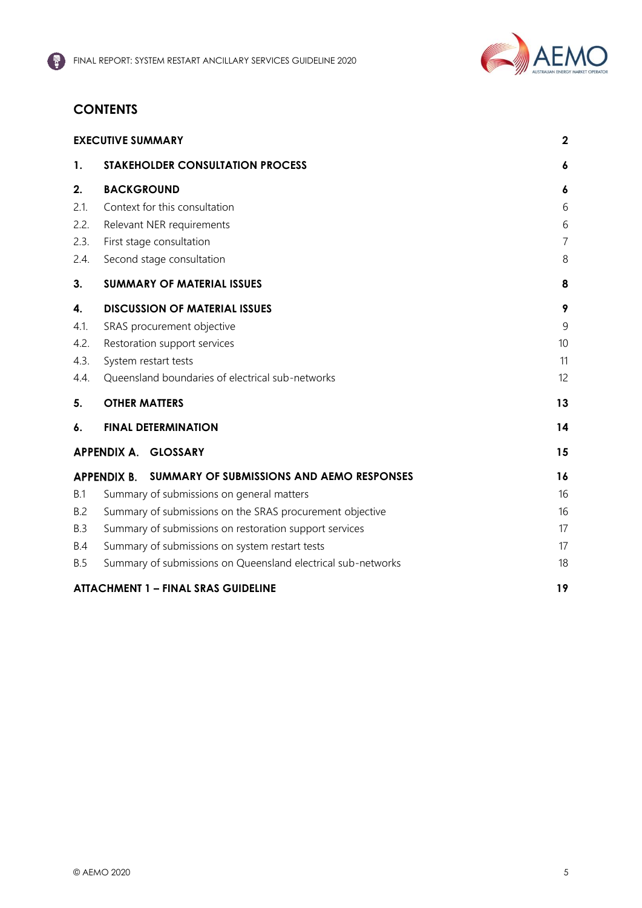

# **CONTENTS**

|            | <b>EXECUTIVE SUMMARY</b>                                        | $\mathbf{2}$   |
|------------|-----------------------------------------------------------------|----------------|
| 1.         | <b>STAKEHOLDER CONSULTATION PROCESS</b>                         | 6              |
| 2.         | <b>BACKGROUND</b>                                               | 6              |
| 2.1.       | Context for this consultation                                   | 6              |
| 2.2.       | Relevant NER requirements                                       | 6              |
| 2.3.       | First stage consultation                                        | $\overline{7}$ |
| 2.4.       | Second stage consultation                                       | 8              |
| 3.         | <b>SUMMARY OF MATERIAL ISSUES</b>                               | 8              |
| 4.         | <b>DISCUSSION OF MATERIAL ISSUES</b>                            | 9              |
| 4.1.       | SRAS procurement objective                                      | 9              |
| 4.2.       | Restoration support services                                    | 10             |
| 4.3.       | System restart tests                                            | 11             |
| 4.4.       | Queensland boundaries of electrical sub-networks                | 12             |
| 5.         | <b>OTHER MATTERS</b>                                            | 13             |
| 6.         | <b>FINAL DETERMINATION</b>                                      | 14             |
|            | APPENDIX A. GLOSSARY                                            | 15             |
|            | <b>APPENDIX B.</b><br>SUMMARY OF SUBMISSIONS AND AEMO RESPONSES | 16             |
| <b>B.1</b> | Summary of submissions on general matters                       | 16             |
| B.2        | Summary of submissions on the SRAS procurement objective        | 16             |
| B.3        | Summary of submissions on restoration support services          | 17             |
| B.4        | Summary of submissions on system restart tests                  | 17             |
| <b>B.5</b> | Summary of submissions on Queensland electrical sub-networks    | 18             |
|            | <b>ATTACHMENT 1 - FINAL SRAS GUIDELINE</b>                      | 19             |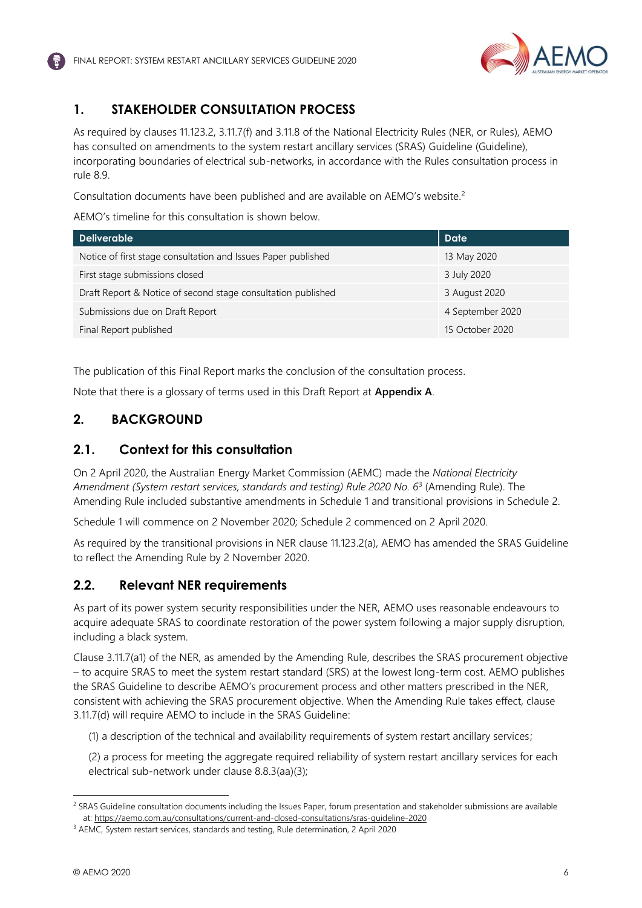

# <span id="page-6-0"></span>**1. STAKEHOLDER CONSULTATION PROCESS**

As required by clauses 11.123.2, 3.11.7(f) and 3.11.8 of the National Electricity Rules (NER, or Rules), AEMO has consulted on amendments to the system restart ancillary services (SRAS) Guideline (Guideline), incorporating boundaries of electrical sub-networks, in accordance with the Rules consultation process in rule 8.9.

Consultation documents have been published and are available on AEMO's website.<sup>2</sup>

AEMO's timeline for this consultation is shown below.

| <b>Deliverable</b>                                            | <b>Date</b>      |
|---------------------------------------------------------------|------------------|
| Notice of first stage consultation and Issues Paper published | 13 May 2020      |
| First stage submissions closed                                | 3 July 2020      |
| Draft Report & Notice of second stage consultation published  | 3 August 2020    |
| Submissions due on Draft Report                               | 4 September 2020 |
| Final Report published                                        | 15 October 2020  |

The publication of this Final Report marks the conclusion of the consultation process.

Note that there is a glossary of terms used in this Draft Report at **Appendix A**.

# <span id="page-6-1"></span>**2. BACKGROUND**

# <span id="page-6-2"></span>**2.1. Context for this consultation**

On 2 April 2020, the Australian Energy Market Commission (AEMC) made the *National Electricity Amendment (System restart services, standards and testing) Rule 2020 No. 6*<sup>3</sup> (Amending Rule). The Amending Rule included substantive amendments in Schedule 1 and transitional provisions in Schedule 2.

Schedule 1 will commence on 2 November 2020; Schedule 2 commenced on 2 April 2020.

As required by the transitional provisions in NER clause 11.123.2(a), AEMO has amended the SRAS Guideline to reflect the Amending Rule by 2 November 2020.

# <span id="page-6-3"></span>**2.2. Relevant NER requirements**

As part of its power system security responsibilities under the NER, AEMO uses reasonable endeavours to acquire adequate SRAS to coordinate restoration of the power system following a major supply disruption, including a black system.

Clause 3.11.7(a1) of the NER, as amended by the Amending Rule, describes the SRAS procurement objective – to acquire SRAS to meet the system restart standard (SRS) at the lowest long-term cost. AEMO publishes the SRAS Guideline to describe AEMO's procurement process and other matters prescribed in the NER, consistent with achieving the SRAS procurement objective. When the Amending Rule takes effect, clause 3.11.7(d) will require AEMO to include in the SRAS Guideline:

(1) a description of the technical and availability requirements of system restart ancillary services;

(2) a process for meeting the aggregate required reliability of system restart ancillary services for each electrical sub-network under clause 8.8.3(aa)(3);

<sup>&</sup>lt;sup>2</sup> SRAS Guideline consultation documents including the Issues Paper, forum presentation and stakeholder submissions are available at[: https://aemo.com.au/consultations/current-and-closed-consultations/sras-guideline-2020](https://aemo.com.au/consultations/current-and-closed-consultations/sras-guideline-2020)

<sup>3</sup> AEMC, System restart services, standards and testing, Rule determination, 2 April 2020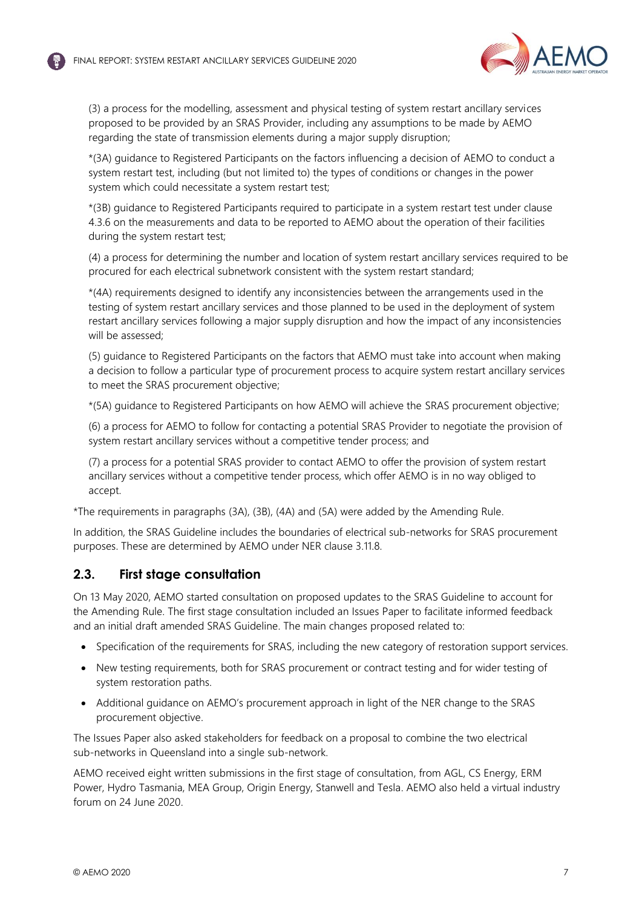

(3) a process for the modelling, assessment and physical testing of system restart ancillary services proposed to be provided by an SRAS Provider, including any assumptions to be made by AEMO regarding the state of transmission elements during a major supply disruption;

\*(3A) guidance to Registered Participants on the factors influencing a decision of AEMO to conduct a system restart test, including (but not limited to) the types of conditions or changes in the power system which could necessitate a system restart test;

\*(3B) guidance to Registered Participants required to participate in a system restart test under clause 4.3.6 on the measurements and data to be reported to AEMO about the operation of their facilities during the system restart test;

(4) a process for determining the number and location of system restart ancillary services required to be procured for each electrical subnetwork consistent with the system restart standard;

\*(4A) requirements designed to identify any inconsistencies between the arrangements used in the testing of system restart ancillary services and those planned to be used in the deployment of system restart ancillary services following a major supply disruption and how the impact of any inconsistencies will be assessed;

(5) guidance to Registered Participants on the factors that AEMO must take into account when making a decision to follow a particular type of procurement process to acquire system restart ancillary services to meet the SRAS procurement objective;

\*(5A) guidance to Registered Participants on how AEMO will achieve the SRAS procurement objective;

(6) a process for AEMO to follow for contacting a potential SRAS Provider to negotiate the provision of system restart ancillary services without a competitive tender process; and

(7) a process for a potential SRAS provider to contact AEMO to offer the provision of system restart ancillary services without a competitive tender process, which offer AEMO is in no way obliged to accept.

\*The requirements in paragraphs (3A), (3B), (4A) and (5A) were added by the Amending Rule.

In addition, the SRAS Guideline includes the boundaries of electrical sub-networks for SRAS procurement purposes. These are determined by AEMO under NER clause 3.11.8.

# <span id="page-7-0"></span>**2.3. First stage consultation**

On 13 May 2020, AEMO started consultation on proposed updates to the SRAS Guideline to account for the Amending Rule. The first stage consultation included an Issues Paper to facilitate informed feedback and an initial draft amended SRAS Guideline. The main changes proposed related to:

- Specification of the requirements for SRAS, including the new category of restoration support services.
- New testing requirements, both for SRAS procurement or contract testing and for wider testing of system restoration paths.
- Additional guidance on AEMO's procurement approach in light of the NER change to the SRAS procurement objective.

The Issues Paper also asked stakeholders for feedback on a proposal to combine the two electrical sub-networks in Queensland into a single sub-network.

AEMO received eight written submissions in the first stage of consultation, from AGL, CS Energy, ERM Power, Hydro Tasmania, MEA Group, Origin Energy, Stanwell and Tesla. AEMO also held a virtual industry forum on 24 June 2020.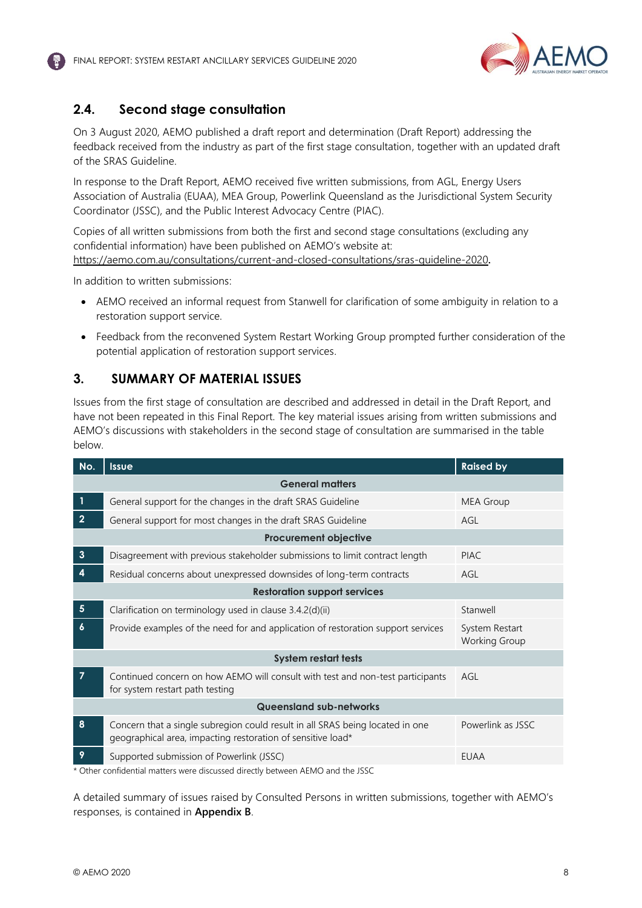

# <span id="page-8-0"></span>**2.4. Second stage consultation**

On 3 August 2020, AEMO published a draft report and determination (Draft Report) addressing the feedback received from the industry as part of the first stage consultation, together with an updated draft of the SRAS Guideline.

In response to the Draft Report, AEMO received five written submissions, from AGL, Energy Users Association of Australia (EUAA), MEA Group, Powerlink Queensland as the Jurisdictional System Security Coordinator (JSSC), and the Public Interest Advocacy Centre (PIAC).

Copies of all written submissions from both the first and second stage consultations (excluding any confidential information) have been published on AEMO's website at: <https://aemo.com.au/consultations/current-and-closed-consultations/sras-guideline-2020>**.**

In addition to written submissions:

- AEMO received an informal request from Stanwell for clarification of some ambiguity in relation to a restoration support service.
- Feedback from the reconvened System Restart Working Group prompted further consideration of the potential application of restoration support services.

# <span id="page-8-1"></span>**3. SUMMARY OF MATERIAL ISSUES**

Issues from the first stage of consultation are described and addressed in detail in the Draft Report, and have not been repeated in this Final Report. The key material issues arising from written submissions and AEMO's discussions with stakeholders in the second stage of consultation are summarised in the table below.

| No.                            | <b>Issue</b>                                                                                                                                                                                                                                                            | <b>Raised by</b>                       |  |  |
|--------------------------------|-------------------------------------------------------------------------------------------------------------------------------------------------------------------------------------------------------------------------------------------------------------------------|----------------------------------------|--|--|
|                                | <b>General matters</b>                                                                                                                                                                                                                                                  |                                        |  |  |
| 1                              | General support for the changes in the draft SRAS Guideline                                                                                                                                                                                                             | <b>MEA Group</b>                       |  |  |
| $\overline{2}$                 | General support for most changes in the draft SRAS Guideline                                                                                                                                                                                                            | AGL                                    |  |  |
|                                | <b>Procurement objective</b>                                                                                                                                                                                                                                            |                                        |  |  |
| $\mathbf{3}$                   | Disagreement with previous stakeholder submissions to limit contract length                                                                                                                                                                                             | <b>PIAC</b>                            |  |  |
| $\boldsymbol{4}$               | Residual concerns about unexpressed downsides of long-term contracts                                                                                                                                                                                                    | AGL                                    |  |  |
|                                | <b>Restoration support services</b>                                                                                                                                                                                                                                     |                                        |  |  |
| $5\phantom{.0}$                | Clarification on terminology used in clause 3.4.2(d)(ii)                                                                                                                                                                                                                | Stanwell                               |  |  |
| $\boldsymbol{6}$               | Provide examples of the need for and application of restoration support services                                                                                                                                                                                        | System Restart<br><b>Working Group</b> |  |  |
|                                | <b>System restart tests</b>                                                                                                                                                                                                                                             |                                        |  |  |
| $\overline{7}$                 | Continued concern on how AEMO will consult with test and non-test participants<br>for system restart path testing                                                                                                                                                       | AGL                                    |  |  |
| <b>Queensland sub-networks</b> |                                                                                                                                                                                                                                                                         |                                        |  |  |
| 8                              | Concern that a single subregion could result in all SRAS being located in one<br>geographical area, impacting restoration of sensitive load*                                                                                                                            | Powerlink as JSSC                      |  |  |
| 9<br>$\sim$                    | Supported submission of Powerlink (JSSC)<br>$C_1$ and $C_2$ and $C_3$ and $C_4$ and $C_5$ and $C_6$ and $C_7$ and $C_8$ and $C_9$ and $C_9$ and $C_9$ and $C_9$ and $C_9$ and $C_9$ and $C_9$ and $C_9$ and $C_9$ and $C_9$ and $C_9$ and $C_9$ and $C_9$ and $C_9$ and | <b>EUAA</b>                            |  |  |

\* Other confidential matters were discussed directly between AEMO and the JSSC

A detailed summary of issues raised by Consulted Persons in written submissions, together with AEMO's responses, is contained in **Appendix B**.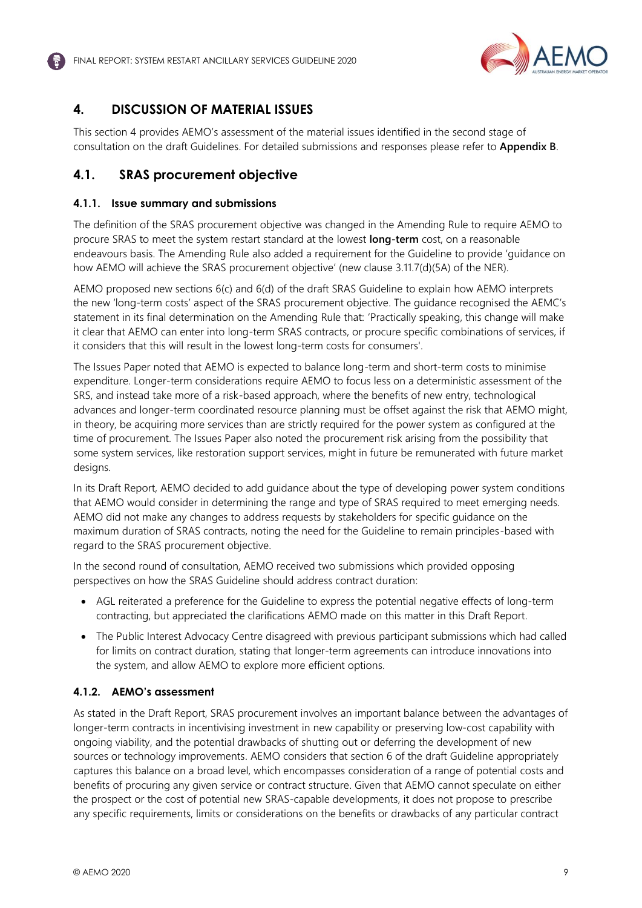

# <span id="page-9-0"></span>**4. DISCUSSION OF MATERIAL ISSUES**

This section 4 provides AEMO's assessment of the material issues identified in the second stage of consultation on the draft Guidelines. For detailed submissions and responses please refer to **Appendix B**.

# <span id="page-9-1"></span>**4.1. SRAS procurement objective**

#### **4.1.1. Issue summary and submissions**

The definition of the SRAS procurement objective was changed in the Amending Rule to require AEMO to procure SRAS to meet the system restart standard at the lowest **long-term** cost, on a reasonable endeavours basis. The Amending Rule also added a requirement for the Guideline to provide 'guidance on how AEMO will achieve the SRAS procurement objective' (new clause 3.11.7(d)(5A) of the NER).

AEMO proposed new sections 6(c) and 6(d) of the draft SRAS Guideline to explain how AEMO interprets the new 'long-term costs' aspect of the SRAS procurement objective. The guidance recognised the AEMC's statement in its final determination on the Amending Rule that: 'Practically speaking, this change will make it clear that AEMO can enter into long-term SRAS contracts, or procure specific combinations of services, if it considers that this will result in the lowest long-term costs for consumers'.

The Issues Paper noted that AEMO is expected to balance long-term and short-term costs to minimise expenditure. Longer-term considerations require AEMO to focus less on a deterministic assessment of the SRS, and instead take more of a risk-based approach, where the benefits of new entry, technological advances and longer-term coordinated resource planning must be offset against the risk that AEMO might, in theory, be acquiring more services than are strictly required for the power system as configured at the time of procurement. The Issues Paper also noted the procurement risk arising from the possibility that some system services, like restoration support services, might in future be remunerated with future market designs.

In its Draft Report, AEMO decided to add guidance about the type of developing power system conditions that AEMO would consider in determining the range and type of SRAS required to meet emerging needs. AEMO did not make any changes to address requests by stakeholders for specific guidance on the maximum duration of SRAS contracts, noting the need for the Guideline to remain principles-based with regard to the SRAS procurement objective.

In the second round of consultation, AEMO received two submissions which provided opposing perspectives on how the SRAS Guideline should address contract duration:

- AGL reiterated a preference for the Guideline to express the potential negative effects of long-term contracting, but appreciated the clarifications AEMO made on this matter in this Draft Report.
- The Public Interest Advocacy Centre disagreed with previous participant submissions which had called for limits on contract duration, stating that longer-term agreements can introduce innovations into the system, and allow AEMO to explore more efficient options.

#### **4.1.2. AEMO's assessment**

As stated in the Draft Report, SRAS procurement involves an important balance between the advantages of longer-term contracts in incentivising investment in new capability or preserving low-cost capability with ongoing viability, and the potential drawbacks of shutting out or deferring the development of new sources or technology improvements. AEMO considers that section 6 of the draft Guideline appropriately captures this balance on a broad level, which encompasses consideration of a range of potential costs and benefits of procuring any given service or contract structure. Given that AEMO cannot speculate on either the prospect or the cost of potential new SRAS-capable developments, it does not propose to prescribe any specific requirements, limits or considerations on the benefits or drawbacks of any particular contract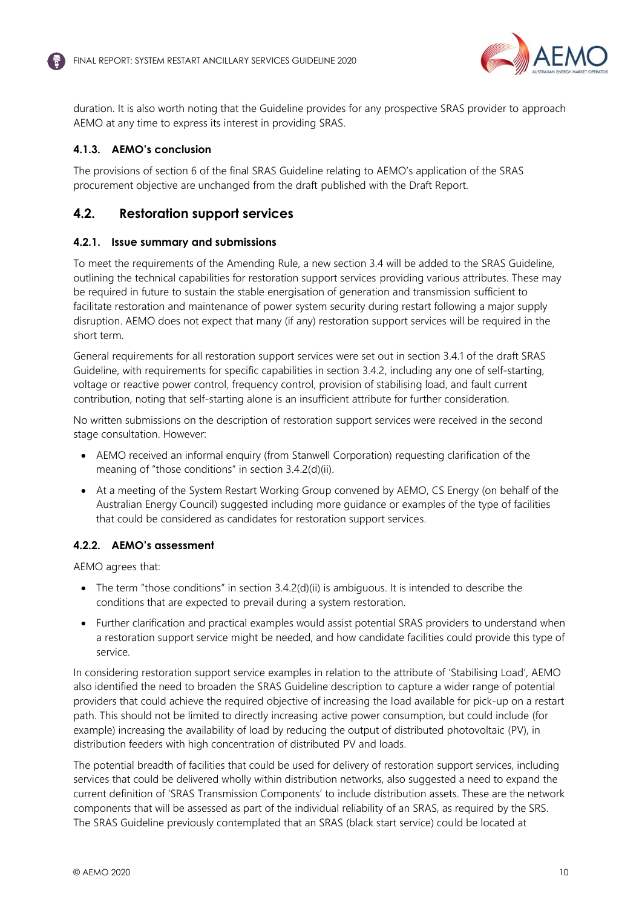

duration. It is also worth noting that the Guideline provides for any prospective SRAS provider to approach AEMO at any time to express its interest in providing SRAS.

#### **4.1.3. AEMO's conclusion**

The provisions of section 6 of the final SRAS Guideline relating to AEMO's application of the SRAS procurement objective are unchanged from the draft published with the Draft Report.

# <span id="page-10-0"></span>**4.2. Restoration support services**

#### **4.2.1. Issue summary and submissions**

To meet the requirements of the Amending Rule, a new section 3.4 will be added to the SRAS Guideline, outlining the technical capabilities for restoration support services providing various attributes. These may be required in future to sustain the stable energisation of generation and transmission sufficient to facilitate restoration and maintenance of power system security during restart following a major supply disruption. AEMO does not expect that many (if any) restoration support services will be required in the short term.

General requirements for all restoration support services were set out in section 3.4.1 of the draft SRAS Guideline, with requirements for specific capabilities in section 3.4.2, including any one of self-starting, voltage or reactive power control, frequency control, provision of stabilising load, and fault current contribution, noting that self-starting alone is an insufficient attribute for further consideration.

No written submissions on the description of restoration support services were received in the second stage consultation. However:

- AEMO received an informal enquiry (from Stanwell Corporation) requesting clarification of the meaning of "those conditions" in section 3.4.2(d)(ii).
- At a meeting of the System Restart Working Group convened by AEMO, CS Energy (on behalf of the Australian Energy Council) suggested including more guidance or examples of the type of facilities that could be considered as candidates for restoration support services.

#### **4.2.2. AEMO's assessment**

AEMO agrees that:

- The term "those conditions" in section 3.4.2(d)(ii) is ambiguous. It is intended to describe the conditions that are expected to prevail during a system restoration.
- Further clarification and practical examples would assist potential SRAS providers to understand when a restoration support service might be needed, and how candidate facilities could provide this type of service.

In considering restoration support service examples in relation to the attribute of 'Stabilising Load', AEMO also identified the need to broaden the SRAS Guideline description to capture a wider range of potential providers that could achieve the required objective of increasing the load available for pick-up on a restart path. This should not be limited to directly increasing active power consumption, but could include (for example) increasing the availability of load by reducing the output of distributed photovoltaic (PV), in distribution feeders with high concentration of distributed PV and loads.

The potential breadth of facilities that could be used for delivery of restoration support services, including services that could be delivered wholly within distribution networks, also suggested a need to expand the current definition of 'SRAS Transmission Components' to include distribution assets. These are the network components that will be assessed as part of the individual reliability of an SRAS, as required by the SRS. The SRAS Guideline previously contemplated that an SRAS (black start service) could be located at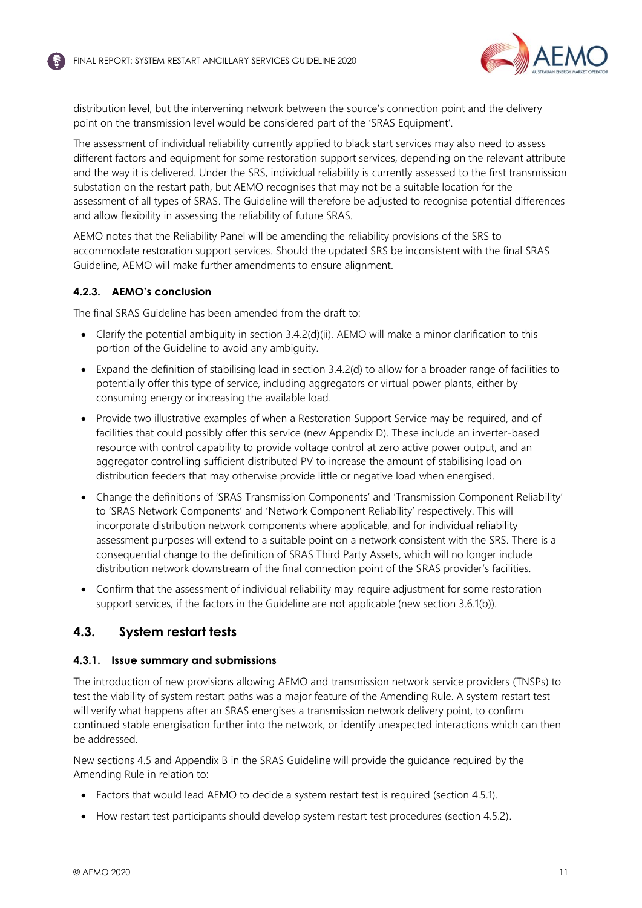

distribution level, but the intervening network between the source's connection point and the delivery point on the transmission level would be considered part of the 'SRAS Equipment'.

The assessment of individual reliability currently applied to black start services may also need to assess different factors and equipment for some restoration support services, depending on the relevant attribute and the way it is delivered. Under the SRS, individual reliability is currently assessed to the first transmission substation on the restart path, but AEMO recognises that may not be a suitable location for the assessment of all types of SRAS. The Guideline will therefore be adjusted to recognise potential differences and allow flexibility in assessing the reliability of future SRAS.

AEMO notes that the Reliability Panel will be amending the reliability provisions of the SRS to accommodate restoration support services. Should the updated SRS be inconsistent with the final SRAS Guideline, AEMO will make further amendments to ensure alignment.

#### **4.2.3. AEMO's conclusion**

The final SRAS Guideline has been amended from the draft to:

- Clarify the potential ambiguity in section 3.4.2(d)(ii). AEMO will make a minor clarification to this portion of the Guideline to avoid any ambiguity.
- Expand the definition of stabilising load in section 3.4.2(d) to allow for a broader range of facilities to potentially offer this type of service, including aggregators or virtual power plants, either by consuming energy or increasing the available load.
- Provide two illustrative examples of when a Restoration Support Service may be required, and of facilities that could possibly offer this service (new Appendix D). These include an inverter-based resource with control capability to provide voltage control at zero active power output, and an aggregator controlling sufficient distributed PV to increase the amount of stabilising load on distribution feeders that may otherwise provide little or negative load when energised.
- Change the definitions of 'SRAS Transmission Components' and 'Transmission Component Reliability' to 'SRAS Network Components' and 'Network Component Reliability' respectively. This will incorporate distribution network components where applicable, and for individual reliability assessment purposes will extend to a suitable point on a network consistent with the SRS. There is a consequential change to the definition of SRAS Third Party Assets, which will no longer include distribution network downstream of the final connection point of the SRAS provider's facilities.
- Confirm that the assessment of individual reliability may require adjustment for some restoration support services, if the factors in the Guideline are not applicable (new section 3.6.1(b)).

# <span id="page-11-0"></span>**4.3. System restart tests**

#### **4.3.1. Issue summary and submissions**

The introduction of new provisions allowing AEMO and transmission network service providers (TNSPs) to test the viability of system restart paths was a major feature of the Amending Rule. A system restart test will verify what happens after an SRAS energises a transmission network delivery point, to confirm continued stable energisation further into the network, or identify unexpected interactions which can then be addressed.

New sections 4.5 and Appendix B in the SRAS Guideline will provide the guidance required by the Amending Rule in relation to:

- Factors that would lead AEMO to decide a system restart test is required (section 4.5.1).
- How restart test participants should develop system restart test procedures (section 4.5.2).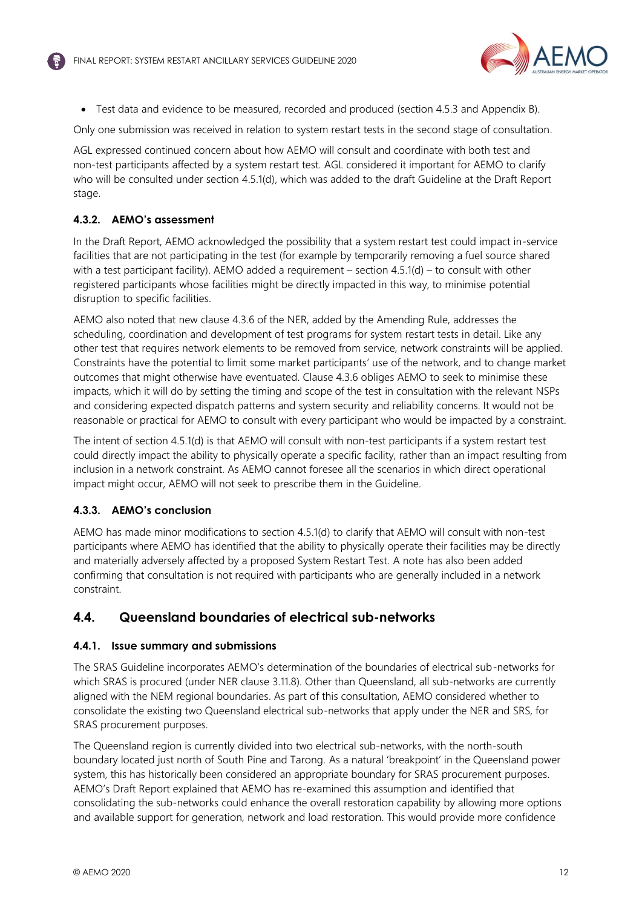

• Test data and evidence to be measured, recorded and produced (section 4.5.3 and Appendix B).

Only one submission was received in relation to system restart tests in the second stage of consultation.

AGL expressed continued concern about how AEMO will consult and coordinate with both test and non-test participants affected by a system restart test. AGL considered it important for AEMO to clarify who will be consulted under section 4.5.1(d), which was added to the draft Guideline at the Draft Report stage.

#### **4.3.2. AEMO's assessment**

In the Draft Report, AEMO acknowledged the possibility that a system restart test could impact in-service facilities that are not participating in the test (for example by temporarily removing a fuel source shared with a test participant facility). AEMO added a requirement – section 4.5.1(d) – to consult with other registered participants whose facilities might be directly impacted in this way, to minimise potential disruption to specific facilities.

AEMO also noted that new clause 4.3.6 of the NER, added by the Amending Rule, addresses the scheduling, coordination and development of test programs for system restart tests in detail. Like any other test that requires network elements to be removed from service, network constraints will be applied. Constraints have the potential to limit some market participants' use of the network, and to change market outcomes that might otherwise have eventuated. Clause 4.3.6 obliges AEMO to seek to minimise these impacts, which it will do by setting the timing and scope of the test in consultation with the relevant NSPs and considering expected dispatch patterns and system security and reliability concerns. It would not be reasonable or practical for AEMO to consult with every participant who would be impacted by a constraint.

The intent of section 4.5.1(d) is that AEMO will consult with non-test participants if a system restart test could directly impact the ability to physically operate a specific facility, rather than an impact resulting from inclusion in a network constraint. As AEMO cannot foresee all the scenarios in which direct operational impact might occur, AEMO will not seek to prescribe them in the Guideline.

#### **4.3.3. AEMO's conclusion**

AEMO has made minor modifications to section 4.5.1(d) to clarify that AEMO will consult with non-test participants where AEMO has identified that the ability to physically operate their facilities may be directly and materially adversely affected by a proposed System Restart Test. A note has also been added confirming that consultation is not required with participants who are generally included in a network constraint.

# <span id="page-12-0"></span>**4.4. Queensland boundaries of electrical sub-networks**

#### **4.4.1. Issue summary and submissions**

The SRAS Guideline incorporates AEMO's determination of the boundaries of electrical sub-networks for which SRAS is procured (under NER clause 3.11.8). Other than Queensland, all sub-networks are currently aligned with the NEM regional boundaries. As part of this consultation, AEMO considered whether to consolidate the existing two Queensland electrical sub-networks that apply under the NER and SRS, for SRAS procurement purposes.

The Queensland region is currently divided into two electrical sub-networks, with the north-south boundary located just north of South Pine and Tarong. As a natural 'breakpoint' in the Queensland power system, this has historically been considered an appropriate boundary for SRAS procurement purposes. AEMO's Draft Report explained that AEMO has re-examined this assumption and identified that consolidating the sub-networks could enhance the overall restoration capability by allowing more options and available support for generation, network and load restoration. This would provide more confidence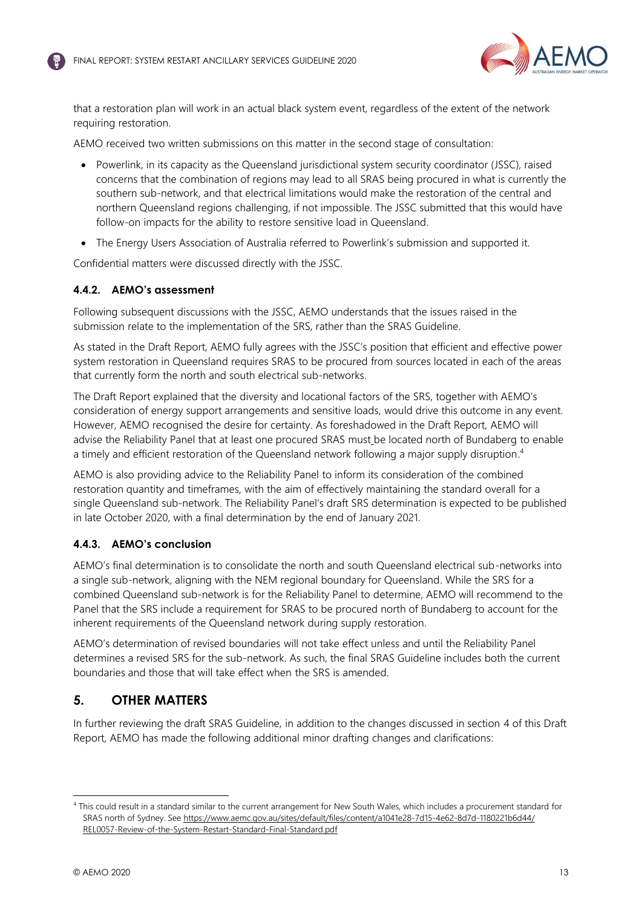

that a restoration plan will work in an actual black system event, regardless of the extent of the network requiring restoration.

AEMO received two written submissions on this matter in the second stage of consultation:

- Powerlink, in its capacity as the Queensland jurisdictional system security coordinator (JSSC), raised concerns that the combination of regions may lead to all SRAS being procured in what is currently the southern sub-network, and that electrical limitations would make the restoration of the central and northern Queensland regions challenging, if not impossible. The JSSC submitted that this would have follow-on impacts for the ability to restore sensitive load in Queensland.
- The Energy Users Association of Australia referred to Powerlink's submission and supported it.

Confidential matters were discussed directly with the JSSC.

#### **4.4.2. AEMO's assessment**

Following subsequent discussions with the JSSC, AEMO understands that the issues raised in the submission relate to the implementation of the SRS, rather than the SRAS Guideline.

As stated in the Draft Report, AEMO fully agrees with the JSSC's position that efficient and effective power system restoration in Queensland requires SRAS to be procured from sources located in each of the areas that currently form the north and south electrical sub-networks.

The Draft Report explained that the diversity and locational factors of the SRS, together with AEMO's consideration of energy support arrangements and sensitive loads, would drive this outcome in any event. However, AEMO recognised the desire for certainty. As foreshadowed in the Draft Report, AEMO will advise the Reliability Panel that at least one procured SRAS must be located north of Bundaberg to enable a timely and efficient restoration of the Queensland network following a major supply disruption.<sup>4</sup>

AEMO is also providing advice to the Reliability Panel to inform its consideration of the combined restoration quantity and timeframes, with the aim of effectively maintaining the standard overall for a single Queensland sub-network. The Reliability Panel's draft SRS determination is expected to be published in late October 2020, with a final determination by the end of January 2021.

#### **4.4.3. AEMO's conclusion**

AEMO's final determination is to consolidate the north and south Queensland electrical sub-networks into a single sub-network, aligning with the NEM regional boundary for Queensland. While the SRS for a combined Queensland sub-network is for the Reliability Panel to determine, AEMO will recommend to the Panel that the SRS include a requirement for SRAS to be procured north of Bundaberg to account for the inherent requirements of the Queensland network during supply restoration.

AEMO's determination of revised boundaries will not take effect unless and until the Reliability Panel determines a revised SRS for the sub-network. As such, the final SRAS Guideline includes both the current boundaries and those that will take effect when the SRS is amended.

# <span id="page-13-0"></span>**5. OTHER MATTERS**

In further reviewing the draft SRAS Guideline, in addition to the changes discussed in section [4](#page-9-0) of this Draft Report, AEMO has made the following additional minor drafting changes and clarifications:

<sup>4</sup> This could result in a standard similar to the current arrangement for New South Wales, which includes a procurement standard for SRAS north of Sydney. Se[e https://www.aemc.gov.au/sites/default/files/content/a1041e28-7d15-4e62-8d7d-1180221b6d44/](https://www.aemc.gov.au/sites/default/files/content/a1041e28-7d15-4e62-8d7d-1180221b6d44/REL0057-Review-of-the-System-Restart-Standard-Final-Standard.pdf) [REL0057-Review-of-the-System-Restart-Standard-Final-Standard.pdf](https://www.aemc.gov.au/sites/default/files/content/a1041e28-7d15-4e62-8d7d-1180221b6d44/REL0057-Review-of-the-System-Restart-Standard-Final-Standard.pdf)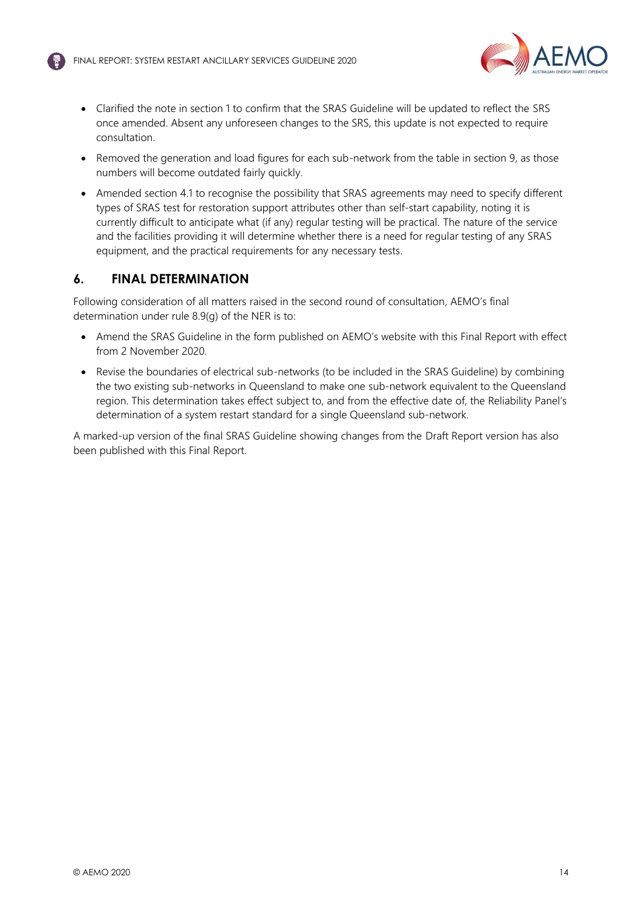

- Clarified the note in section 1 to confirm that the SRAS Guideline will be updated to reflect the SRS once amended. Absent any unforeseen changes to the SRS, this update is not expected to require consultation.
- Removed the generation and load figures for each sub-network from the table in section 9, as those numbers will become outdated fairly quickly.
- Amended section 4.1 to recognise the possibility that SRAS agreements may need to specify different types of SRAS test for restoration support attributes other than self-start capability, noting it is currently difficult to anticipate what (if any) regular testing will be practical. The nature of the service and the facilities providing it will determine whether there is a need for regular testing of any SRAS equipment, and the practical requirements for any necessary tests.

# <span id="page-14-0"></span>**6. FINAL DETERMINATION**

Following consideration of all matters raised in the second round of consultation, AEMO's final determination under rule 8.9(g) of the NER is to:

- Amend the SRAS Guideline in the form published on AEMO's website with this Final Report with effect from 2 November 2020.
- Revise the boundaries of electrical sub-networks (to be included in the SRAS Guideline) by combining the two existing sub-networks in Queensland to make one sub-network equivalent to the Queensland region. This determination takes effect subject to, and from the effective date of, the Reliability Panel's determination of a system restart standard for a single Queensland sub-network.

A marked-up version of the final SRAS Guideline showing changes from the Draft Report version has also been published with this Final Report.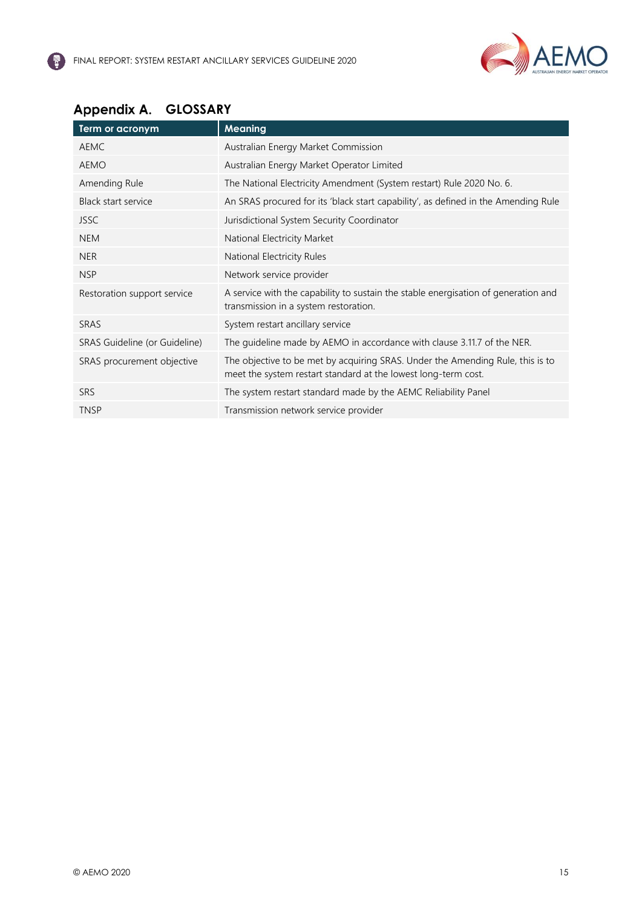

# <span id="page-15-0"></span>Appendix A. GLOSSARY

| Term or acronym               | <b>Meaning</b>                                                                                                                                   |
|-------------------------------|--------------------------------------------------------------------------------------------------------------------------------------------------|
| AEMC                          | Australian Energy Market Commission                                                                                                              |
| <b>AEMO</b>                   | Australian Energy Market Operator Limited                                                                                                        |
| Amending Rule                 | The National Electricity Amendment (System restart) Rule 2020 No. 6.                                                                             |
| <b>Black start service</b>    | An SRAS procured for its 'black start capability', as defined in the Amending Rule                                                               |
| <b>JSSC</b>                   | Jurisdictional System Security Coordinator                                                                                                       |
| <b>NEM</b>                    | National Electricity Market                                                                                                                      |
| <b>NER</b>                    | National Electricity Rules                                                                                                                       |
| <b>NSP</b>                    | Network service provider                                                                                                                         |
| Restoration support service   | A service with the capability to sustain the stable energisation of generation and<br>transmission in a system restoration.                      |
| SRAS                          | System restart ancillary service                                                                                                                 |
| SRAS Guideline (or Guideline) | The guideline made by AEMO in accordance with clause 3.11.7 of the NER.                                                                          |
| SRAS procurement objective    | The objective to be met by acquiring SRAS. Under the Amending Rule, this is to<br>meet the system restart standard at the lowest long-term cost. |
| <b>SRS</b>                    | The system restart standard made by the AEMC Reliability Panel                                                                                   |
| <b>TNSP</b>                   | Transmission network service provider                                                                                                            |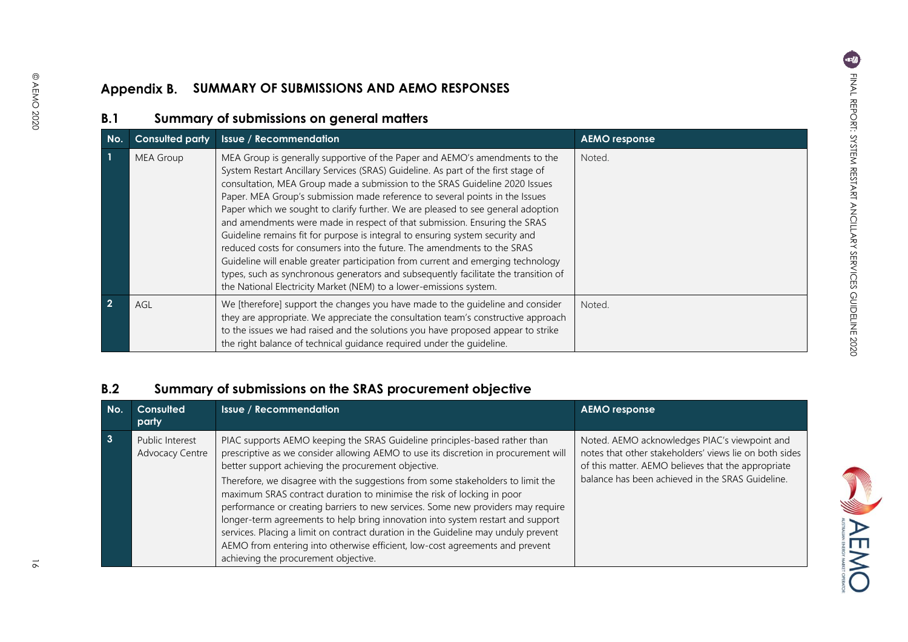#### Appendix B. **SUMMARY OF SUBMISSIONS AND AEMO RESPONSES**

# **B.1 Summary of submissions on general matters**

| No.         | <b>Consulted party</b> | <b>Issue / Recommendation</b>                                                                                                                                                                                                                                                                                                                                                                                                                                                                                                                                                                                                                                                                                                                                                                                                                                                                                 | <b>AEMO</b> response |
|-------------|------------------------|---------------------------------------------------------------------------------------------------------------------------------------------------------------------------------------------------------------------------------------------------------------------------------------------------------------------------------------------------------------------------------------------------------------------------------------------------------------------------------------------------------------------------------------------------------------------------------------------------------------------------------------------------------------------------------------------------------------------------------------------------------------------------------------------------------------------------------------------------------------------------------------------------------------|----------------------|
|             | <b>MEA Group</b>       | MEA Group is generally supportive of the Paper and AEMO's amendments to the<br>System Restart Ancillary Services (SRAS) Guideline. As part of the first stage of<br>consultation, MEA Group made a submission to the SRAS Guideline 2020 Issues<br>Paper. MEA Group's submission made reference to several points in the Issues<br>Paper which we sought to clarify further. We are pleased to see general adoption<br>and amendments were made in respect of that submission. Ensuring the SRAS<br>Guideline remains fit for purpose is integral to ensuring system security and<br>reduced costs for consumers into the future. The amendments to the SRAS<br>Guideline will enable greater participation from current and emerging technology<br>types, such as synchronous generators and subsequently facilitate the transition of<br>the National Electricity Market (NEM) to a lower-emissions system. | Noted.               |
| $2^{\circ}$ | AGL                    | We [therefore] support the changes you have made to the guideline and consider<br>they are appropriate. We appreciate the consultation team's constructive approach<br>to the issues we had raised and the solutions you have proposed appear to strike<br>the right balance of technical guidance required under the guideline.                                                                                                                                                                                                                                                                                                                                                                                                                                                                                                                                                                              | Noted.               |

# <span id="page-16-1"></span><span id="page-16-0"></span>**B.2 Summary of submissions on the SRAS procurement objective**

<span id="page-16-2"></span>

| No.          | Consulted<br>party                 | <b>Issue / Recommendation</b>                                                                                                                                                                                                                                                                                                                                                                                                                                                                                                                                                                                                                                                                                                                                              | <b>AEMO</b> response                                                                                                                                                                                              |
|--------------|------------------------------------|----------------------------------------------------------------------------------------------------------------------------------------------------------------------------------------------------------------------------------------------------------------------------------------------------------------------------------------------------------------------------------------------------------------------------------------------------------------------------------------------------------------------------------------------------------------------------------------------------------------------------------------------------------------------------------------------------------------------------------------------------------------------------|-------------------------------------------------------------------------------------------------------------------------------------------------------------------------------------------------------------------|
| $\mathbf{3}$ | Public Interest<br>Advocacy Centre | PIAC supports AEMO keeping the SRAS Guideline principles-based rather than<br>prescriptive as we consider allowing AEMO to use its discretion in procurement will<br>better support achieving the procurement objective.<br>Therefore, we disagree with the suggestions from some stakeholders to limit the<br>maximum SRAS contract duration to minimise the risk of locking in poor<br>performance or creating barriers to new services. Some new providers may require<br>longer-term agreements to help bring innovation into system restart and support<br>services. Placing a limit on contract duration in the Guideline may unduly prevent<br>AEMO from entering into otherwise efficient, low-cost agreements and prevent<br>achieving the procurement objective. | Noted. AEMO acknowledges PIAC's viewpoint and<br>notes that other stakeholders' views lie on both sides<br>of this matter. AEMO believes that the appropriate<br>balance has been achieved in the SRAS Guideline. |



NAEMO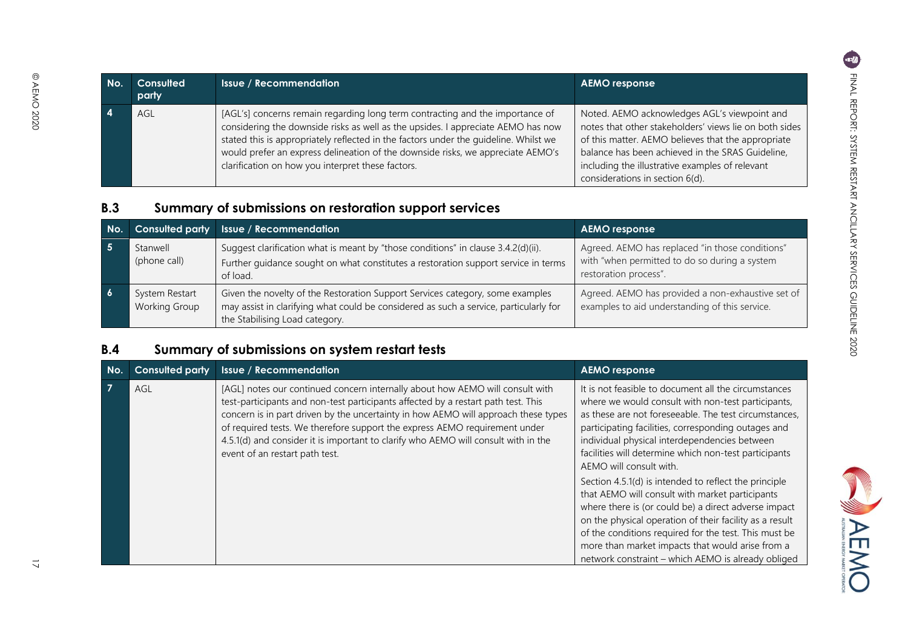| No. | Consulted<br>party |
|-----|--------------------|
| 4   | AGL                |

@ AEMO 2020

| [AGL's] concerns remain regarding long term contracting and the importance of<br>Noted. AEMO acknowledges AGL's viewpoint and<br>AGL<br>considering the downside risks as well as the upsides. I appreciate AEMO has now<br>notes that other stakeholders' views lie on both sides<br>stated this is appropriately reflected in the factors under the quideline. Whilst we<br>of this matter. AEMO believes that the appropriate<br>would prefer an express delineation of the downside risks, we appreciate AEMO's<br>balance has been achieved in the SRAS Guideline,<br>clarification on how you interpret these factors.<br>including the illustrative examples of relevant<br>considerations in section 6(d). |
|--------------------------------------------------------------------------------------------------------------------------------------------------------------------------------------------------------------------------------------------------------------------------------------------------------------------------------------------------------------------------------------------------------------------------------------------------------------------------------------------------------------------------------------------------------------------------------------------------------------------------------------------------------------------------------------------------------------------|
|--------------------------------------------------------------------------------------------------------------------------------------------------------------------------------------------------------------------------------------------------------------------------------------------------------------------------------------------------------------------------------------------------------------------------------------------------------------------------------------------------------------------------------------------------------------------------------------------------------------------------------------------------------------------------------------------------------------------|

**Issue** / Recommendation **AEMO response** 

# **B.3 Summary of submissions on restoration support services**

| No. | <b>Consulted party</b>          | <b>Issue / Recommendation</b>                                                                                                                                                                            | <b>AEMO</b> response                                                                                                      |
|-----|---------------------------------|----------------------------------------------------------------------------------------------------------------------------------------------------------------------------------------------------------|---------------------------------------------------------------------------------------------------------------------------|
|     | Stanwell<br>(phone call)        | Suggest clarification what is meant by "those conditions" in clause 3.4.2(d)(ii).<br>Further guidance sought on what constitutes a restoration support service in terms<br>of load.                      | Agreed. AEMO has replaced "in those conditions"<br>with "when permitted to do so during a system<br>restoration process". |
|     | System Restart<br>Working Group | Given the novelty of the Restoration Support Services category, some examples<br>may assist in clarifying what could be considered as such a service, particularly for<br>the Stabilising Load category. | Agreed. AEMO has provided a non-exhaustive set of<br>examples to aid understanding of this service.                       |

# **B.4 Summary of submissions on system restart tests**

<span id="page-17-1"></span><span id="page-17-0"></span>

| No. | <b>Consulted party</b> | <b>Issue / Recommendation</b>                                                                                                                                                                                                                                                                                                                                                                                                                                  | <b>AEMO</b> response                                                                                                                                                                                                                                                                                                                                                                           |
|-----|------------------------|----------------------------------------------------------------------------------------------------------------------------------------------------------------------------------------------------------------------------------------------------------------------------------------------------------------------------------------------------------------------------------------------------------------------------------------------------------------|------------------------------------------------------------------------------------------------------------------------------------------------------------------------------------------------------------------------------------------------------------------------------------------------------------------------------------------------------------------------------------------------|
|     | AGL                    | [AGL] notes our continued concern internally about how AEMO will consult with<br>test-participants and non-test participants affected by a restart path test. This<br>concern is in part driven by the uncertainty in how AEMO will approach these types<br>of required tests. We therefore support the express AEMO requirement under<br>4.5.1(d) and consider it is important to clarify who AEMO will consult with in the<br>event of an restart path test. | It is not feasible to document all the circumstances<br>where we would consult with non-test participants,<br>as these are not foreseeable. The test circumstances,<br>participating facilities, corresponding outages and<br>individual physical interdependencies between<br>facilities will determine which non-test participants<br>AEMO will consult with.                                |
|     |                        |                                                                                                                                                                                                                                                                                                                                                                                                                                                                | Section 4.5.1(d) is intended to reflect the principle<br>that AEMO will consult with market participants<br>where there is (or could be) a direct adverse impact<br>on the physical operation of their facility as a result<br>of the conditions required for the test. This must be<br>more than market impacts that would arise from a<br>network constraint – which AEMO is already obliged |

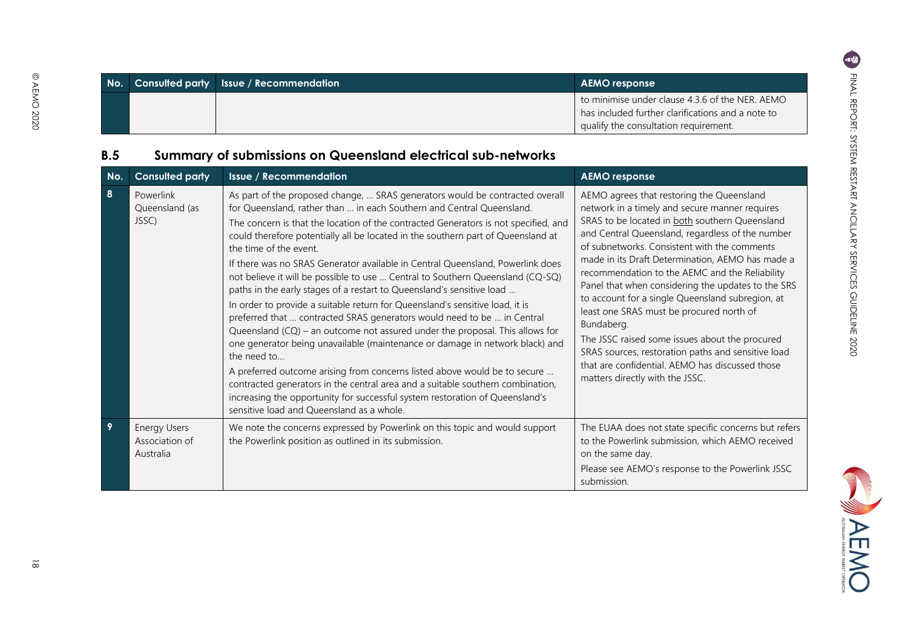**EMO** 

|  | No. Consulted party Issue / Recommendation | <b>AEMO</b> response                                                                                                                          |
|--|--------------------------------------------|-----------------------------------------------------------------------------------------------------------------------------------------------|
|  |                                            | to minimise under clause 4.3.6 of the NER. AEMO<br>has included further clarifications and a note to<br>qualify the consultation requirement. |

# **B.5 Summary of submissions on Queensland electrical sub-networks**

<span id="page-18-0"></span>

| No.            | <b>Consulted party</b>                             | <b>Issue / Recommendation</b>                                                                                                                                                                                                                                                                                                                                                                                                                                                                                                                                                                                                                                                                                                                                                                                                                                                                                                                                                                                                                                                                                                                                                                                                                   | <b>AEMO response</b>                                                                                                                                                                                                                                                                                                                                                                                                                                                                                                                                                                                                                                                                                                      |
|----------------|----------------------------------------------------|-------------------------------------------------------------------------------------------------------------------------------------------------------------------------------------------------------------------------------------------------------------------------------------------------------------------------------------------------------------------------------------------------------------------------------------------------------------------------------------------------------------------------------------------------------------------------------------------------------------------------------------------------------------------------------------------------------------------------------------------------------------------------------------------------------------------------------------------------------------------------------------------------------------------------------------------------------------------------------------------------------------------------------------------------------------------------------------------------------------------------------------------------------------------------------------------------------------------------------------------------|---------------------------------------------------------------------------------------------------------------------------------------------------------------------------------------------------------------------------------------------------------------------------------------------------------------------------------------------------------------------------------------------------------------------------------------------------------------------------------------------------------------------------------------------------------------------------------------------------------------------------------------------------------------------------------------------------------------------------|
| 8              | Powerlink<br>Queensland (as<br>JSSC)               | As part of the proposed change,  SRAS generators would be contracted overall<br>for Queensland, rather than  in each Southern and Central Queensland.<br>The concern is that the location of the contracted Generators is not specified, and<br>could therefore potentially all be located in the southern part of Queensland at<br>the time of the event.<br>If there was no SRAS Generator available in Central Queensland, Powerlink does<br>not believe it will be possible to use  Central to Southern Queensland (CQ-SQ)<br>paths in the early stages of a restart to Queensland's sensitive load<br>In order to provide a suitable return for Queensland's sensitive load, it is<br>preferred that  contracted SRAS generators would need to be  in Central<br>Queensland $(CQ)$ – an outcome not assured under the proposal. This allows for<br>one generator being unavailable (maintenance or damage in network black) and<br>the need to<br>A preferred outcome arising from concerns listed above would be to secure<br>contracted generators in the central area and a suitable southern combination,<br>increasing the opportunity for successful system restoration of Queensland's<br>sensitive load and Queensland as a whole. | AEMO agrees that restoring the Queensland<br>network in a timely and secure manner requires<br>SRAS to be located in both southern Queensland<br>and Central Queensland, regardless of the number<br>of subnetworks. Consistent with the comments<br>made in its Draft Determination, AEMO has made a<br>recommendation to the AEMC and the Reliability<br>Panel that when considering the updates to the SRS<br>to account for a single Queensland subregion, at<br>least one SRAS must be procured north of<br>Bundaberg.<br>The JSSC raised some issues about the procured<br>SRAS sources, restoration paths and sensitive load<br>that are confidential. AEMO has discussed those<br>matters directly with the JSSC. |
| $\overline{9}$ | <b>Energy Users</b><br>Association of<br>Australia | We note the concerns expressed by Powerlink on this topic and would support<br>the Powerlink position as outlined in its submission.                                                                                                                                                                                                                                                                                                                                                                                                                                                                                                                                                                                                                                                                                                                                                                                                                                                                                                                                                                                                                                                                                                            | The EUAA does not state specific concerns but refers<br>to the Powerlink submission, which AEMO received<br>on the same day.<br>Please see AEMO's response to the Powerlink JSSC<br>submission.                                                                                                                                                                                                                                                                                                                                                                                                                                                                                                                           |